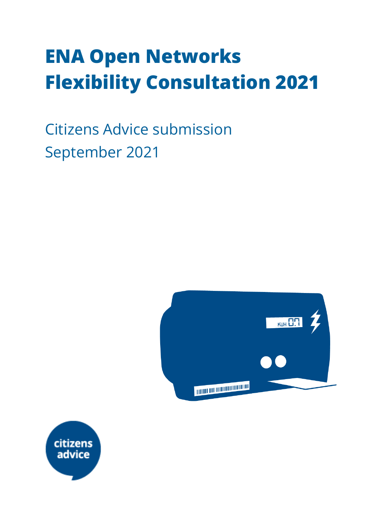# **ENA Open Networks Flexibility Consultation 2021**

Citizens Advice submission September 2021



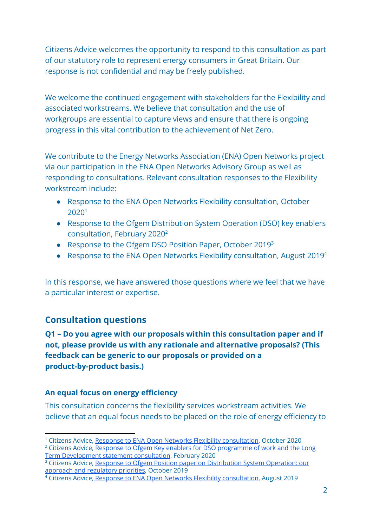Citizens Advice welcomes the opportunity to respond to this consultation as part of our statutory role to represent energy consumers in Great Britain. Our response is not confidential and may be freely published.

We welcome the continued engagement with stakeholders for the Flexibility and associated workstreams. We believe that consultation and the use of workgroups are essential to capture views and ensure that there is ongoing progress in this vital contribution to the achievement of Net Zero.

We contribute to the Energy Networks Association (ENA) Open Networks project via our participation in the ENA Open Networks Advisory Group as well as responding to consultations. Relevant consultation responses to the Flexibility workstream include:

- Response to the ENA Open Networks Flexibility consultation, October 2020<sup>1</sup>
- Response to the Ofgem Distribution System Operation (DSO) key enablers consultation, February 2020<sup>2</sup>
- Response to the Ofgem DSO Position Paper, October 2019<sup>3</sup>
- Response to the ENA Open Networks Flexibility consultation, August 2019<sup>4</sup>

In this response, we have answered those questions where we feel that we have a particular interest or expertise.

#### **Consultation questions**

**Q1 – Do you agree with our proposals within this consultation paper and if not, please provide us with any rationale and alternative proposals? (This feedback can be generic to our proposals or provided on a product-by-product basis.)**

#### **An equal focus on energy efficiency**

This consultation concerns the flexibility services workstream activities. We believe that an equal focus needs to be placed on the role of energy efficiency to

<sup>1</sup> Citizens Advice, Response to ENA Open Networks Flexibility [consultation](https://www.citizensadvice.org.uk/about-us/our-work/policy/policy-research-topics/energy-policy-research-and-consultation-responses/energy-consultation-responses/citizens-advice-response-to-ena-flexibility-consultation-2020/), October 2020

<sup>&</sup>lt;sup>2</sup> Citizens Advice, Response to Ofgem Key enablers for DSO [programme](https://www.citizensadvice.org.uk/Global/CitizensAdvice/Energy/Energy%20Consultation%20responses/CA%20response%20-%20Ofgem%20Key%20enablers%20for%20DSO%20programme%20of%20work%20and%20the%20Long%20Term%20Development%20Statement.pdf) of work and the Long Term [Development](https://www.citizensadvice.org.uk/Global/CitizensAdvice/Energy/Energy%20Consultation%20responses/CA%20response%20-%20Ofgem%20Key%20enablers%20for%20DSO%20programme%20of%20work%20and%20the%20Long%20Term%20Development%20Statement.pdf) statement consultation, February 2020

<sup>&</sup>lt;sup>3</sup> Citizens Advice, Response to Ofgem Position paper on [Distribution](https://www.citizensadvice.org.uk/Global/CitizensAdvice/Energy/Energy%20Consultation%20responses/Ofgem%20Position%20paper%20on%20Distribution%20System%20Operation_%20our%20approach%20and%20regulatory%20priorities%20Oct%202019%20-%20CA%20response%20%20(1).pdf) System Operation: our approach and [regulatory](https://www.citizensadvice.org.uk/Global/CitizensAdvice/Energy/Energy%20Consultation%20responses/Ofgem%20Position%20paper%20on%20Distribution%20System%20Operation_%20our%20approach%20and%20regulatory%20priorities%20Oct%202019%20-%20CA%20response%20%20(1).pdf) priorities, October 2019

<sup>4</sup> Citizens Advice, Response to ENA Open Networks Flexibility [consultation](https://www.citizensadvice.org.uk/Global/CitizensAdvice/Energy/Energy%20Consultation%20responses/ENA%20Open%20Networks%20Project%20-%20Flexibility%20Consultation%202019%20-%20CA%20response%20%20(1).pdf), August 2019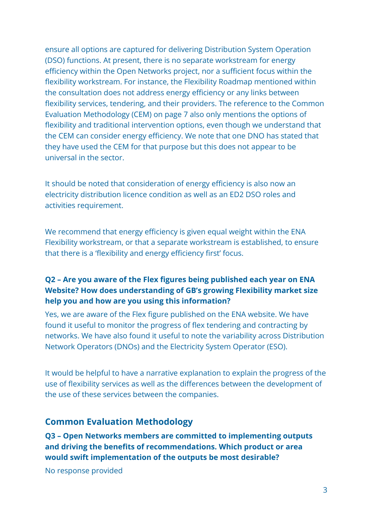ensure all options are captured for delivering Distribution System Operation (DSO) functions. At present, there is no separate workstream for energy efficiency within the Open Networks project, nor a sufficient focus within the flexibility workstream. For instance, the Flexibility Roadmap mentioned within the consultation does not address energy efficiency or any links between flexibility services, tendering, and their providers. The reference to the Common Evaluation Methodology (CEM) on page 7 also only mentions the options of flexibility and traditional intervention options, even though we understand that the CEM can consider energy efficiency. We note that one DNO has stated that they have used the CEM for that purpose but this does not appear to be universal in the sector.

It should be noted that consideration of energy efficiency is also now an electricity distribution licence condition as well as an ED2 DSO roles and activities requirement.

We recommend that energy efficiency is given equal weight within the ENA Flexibility workstream, or that a separate workstream is established, to ensure that there is a 'flexibility and energy efficiency first' focus.

#### **Q2 – Are you aware of the Flex figures being published each year on ENA Website? How does understanding of GB's growing Flexibility market size help you and how are you using this information?**

Yes, we are aware of the Flex figure published on the ENA website. We have found it useful to monitor the progress of flex tendering and contracting by networks. We have also found it useful to note the variability across Distribution Network Operators (DNOs) and the Electricity System Operator (ESO).

It would be helpful to have a narrative explanation to explain the progress of the use of flexibility services as well as the differences between the development of the use of these services between the companies.

#### **Common Evaluation Methodology**

**Q3 – Open Networks members are committed to implementing outputs and driving the benefits of recommendations. Which product or area would swift implementation of the outputs be most desirable?**

No response provided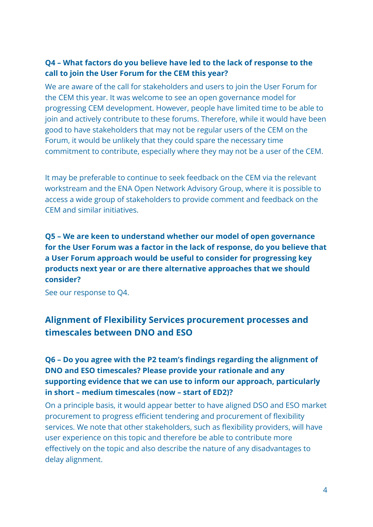#### **Q4 – What factors do you believe have led to the lack of response to the call to join the User Forum for the CEM this year?**

We are aware of the call for stakeholders and users to join the User Forum for the CEM this year. It was welcome to see an open governance model for progressing CEM development. However, people have limited time to be able to join and actively contribute to these forums. Therefore, while it would have been good to have stakeholders that may not be regular users of the CEM on the Forum, it would be unlikely that they could spare the necessary time commitment to contribute, especially where they may not be a user of the CEM.

It may be preferable to continue to seek feedback on the CEM via the relevant workstream and the ENA Open Network Advisory Group, where it is possible to access a wide group of stakeholders to provide comment and feedback on the CEM and similar initiatives.

**Q5 – We are keen to understand whether our model of open governance for the User Forum was a factor in the lack of response, do you believe that a User Forum approach would be useful to consider for progressing key products next year or are there alternative approaches that we should consider?**

See our response to Q4.

## **Alignment of Flexibility Services procurement processes and timescales between DNO and ESO**

#### **Q6 – Do you agree with the P2 team's findings regarding the alignment of DNO and ESO timescales? Please provide your rationale and any supporting evidence that we can use to inform our approach, particularly in short – medium timescales (now – start of ED2)?**

On a principle basis, it would appear better to have aligned DSO and ESO market procurement to progress efficient tendering and procurement of flexibility services. We note that other stakeholders, such as flexibility providers, will have user experience on this topic and therefore be able to contribute more effectively on the topic and also describe the nature of any disadvantages to delay alignment.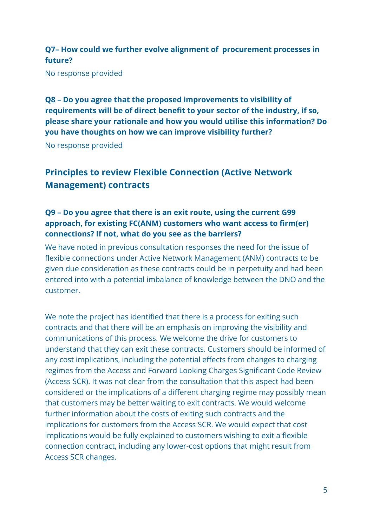#### **Q7– How could we further evolve alignment of procurement processes in future?**

No response provided

**Q8 – Do you agree that the proposed improvements to visibility of requirements will be of direct benefit to your sector of the industry, if so, please share your rationale and how you would utilise this information? Do you have thoughts on how we can improve visibility further?**

No response provided

## **Principles to review Flexible Connection (Active Network Management) contracts**

#### **Q9 – Do you agree that there is an exit route, using the current G99 approach, for existing FC(ANM) customers who want access to firm(er) connections? If not, what do you see as the barriers?**

We have noted in previous consultation responses the need for the issue of flexible connections under Active Network Management (ANM) contracts to be given due consideration as these contracts could be in perpetuity and had been entered into with a potential imbalance of knowledge between the DNO and the customer.

We note the project has identified that there is a process for exiting such contracts and that there will be an emphasis on improving the visibility and communications of this process. We welcome the drive for customers to understand that they can exit these contracts. Customers should be informed of any cost implications, including the potential effects from changes to charging regimes from the Access and Forward Looking Charges Significant Code Review (Access SCR). It was not clear from the consultation that this aspect had been considered or the implications of a different charging regime may possibly mean that customers may be better waiting to exit contracts. We would welcome further information about the costs of exiting such contracts and the implications for customers from the Access SCR. We would expect that cost implications would be fully explained to customers wishing to exit a flexible connection contract, including any lower-cost options that might result from Access SCR changes.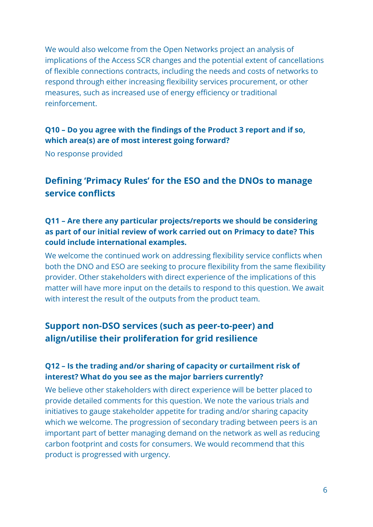We would also welcome from the Open Networks project an analysis of implications of the Access SCR changes and the potential extent of cancellations of flexible connections contracts, including the needs and costs of networks to respond through either increasing flexibility services procurement, or other measures, such as increased use of energy efficiency or traditional reinforcement.

#### **Q10 – Do you agree with the findings of the Product 3 report and if so, which area(s) are of most interest going forward?**

No response provided

## **Defining 'Primacy Rules' for the ESO and the DNOs to manage service conflicts**

#### **Q11 – Are there any particular projects/reports we should be considering as part of our initial review of work carried out on Primacy to date? This could include international examples.**

We welcome the continued work on addressing flexibility service conflicts when both the DNO and ESO are seeking to procure flexibility from the same flexibility provider. Other stakeholders with direct experience of the implications of this matter will have more input on the details to respond to this question. We await with interest the result of the outputs from the product team.

## **Support non-DSO services (such as peer-to-peer) and align/utilise their proliferation for grid resilience**

#### **Q12 – Is the trading and/or sharing of capacity or curtailment risk of interest? What do you see as the major barriers currently?**

We believe other stakeholders with direct experience will be better placed to provide detailed comments for this question. We note the various trials and initiatives to gauge stakeholder appetite for trading and/or sharing capacity which we welcome. The progression of secondary trading between peers is an important part of better managing demand on the network as well as reducing carbon footprint and costs for consumers. We would recommend that this product is progressed with urgency.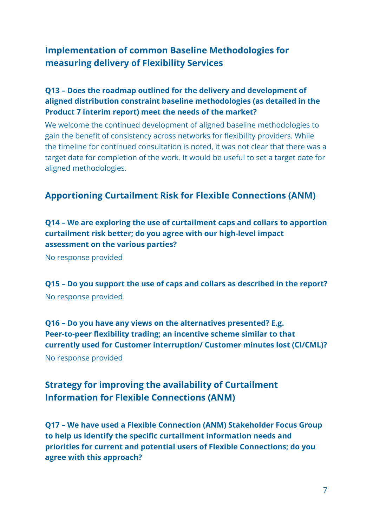## **Implementation of common Baseline Methodologies for measuring delivery of Flexibility Services**

#### **Q13 – Does the roadmap outlined for the delivery and development of aligned distribution constraint baseline methodologies (as detailed in the Product 7 interim report) meet the needs of the market?**

We welcome the continued development of aligned baseline methodologies to gain the benefit of consistency across networks for flexibility providers. While the timeline for continued consultation is noted, it was not clear that there was a target date for completion of the work. It would be useful to set a target date for aligned methodologies.

#### **Apportioning Curtailment Risk for Flexible Connections (ANM)**

**Q14 – We are exploring the use of curtailment caps and collars to apportion curtailment risk better; do you agree with our high-level impact assessment on the various parties?**

No response provided

**Q15 – Do you support the use of caps and collars as described in the report?** No response provided

**Q16 – Do you have any views on the alternatives presented? E.g. Peer-to-peer flexibility trading; an incentive scheme similar to that currently used for Customer interruption/ Customer minutes lost (CI/CML)?** No response provided

## **Strategy for improving the availability of Curtailment Information for Flexible Connections (ANM)**

**Q17 – We have used a Flexible Connection (ANM) Stakeholder Focus Group to help us identify the specific curtailment information needs and priorities for current and potential users of Flexible Connections; do you agree with this approach?**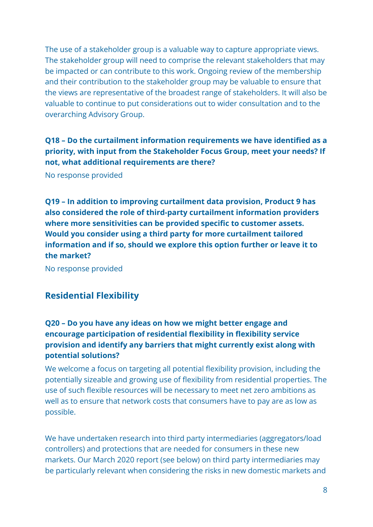The use of a stakeholder group is a valuable way to capture appropriate views. The stakeholder group will need to comprise the relevant stakeholders that may be impacted or can contribute to this work. Ongoing review of the membership and their contribution to the stakeholder group may be valuable to ensure that the views are representative of the broadest range of stakeholders. It will also be valuable to continue to put considerations out to wider consultation and to the overarching Advisory Group.

**Q18 – Do the curtailment information requirements we have identified as a priority, with input from the Stakeholder Focus Group, meet your needs? If not, what additional requirements are there?**

No response provided

**Q19 – In addition to improving curtailment data provision, Product 9 has also considered the role of third-party curtailment information providers where more sensitivities can be provided specific to customer assets. Would you consider using a third party for more curtailment tailored information and if so, should we explore this option further or leave it to the market?**

No response provided

#### **Residential Flexibility**

#### **Q20 – Do you have any ideas on how we might better engage and encourage participation of residential flexibility in flexibility service provision and identify any barriers that might currently exist along with potential solutions?**

We welcome a focus on targeting all potential flexibility provision, including the potentially sizeable and growing use of flexibility from residential properties. The use of such flexible resources will be necessary to meet net zero ambitions as well as to ensure that network costs that consumers have to pay are as low as possible.

We have undertaken research into third party intermediaries (aggregators/load controllers) and protections that are needed for consumers in these new markets. Our March 2020 report (see below) on third party intermediaries may be particularly relevant when considering the risks in new domestic markets and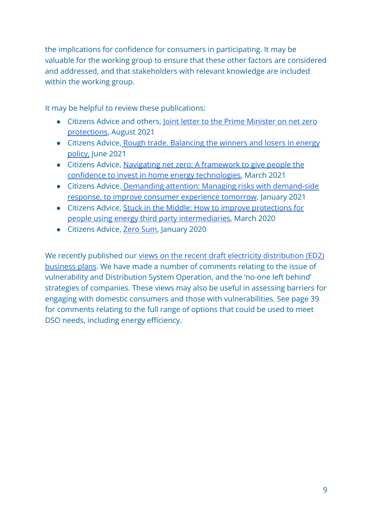the implications for confidence for consumers in participating. It may be valuable for the working group to ensure that these other factors are considered and addressed, and that stakeholders with relevant knowledge are included within the working group.

It may be helpful to review these publications:

- Citizens Advice and others, [Joint letter to the Prime](https://www.citizensadvice.org.uk/Global/CitizensAdvice/Energy/Net%20zero%20joint%20letter%20to%20the%20Prime%20Minister%20-%202021-08-25.pdf) Minister on net zero [protections,](https://www.citizensadvice.org.uk/Global/CitizensAdvice/Energy/Net%20zero%20joint%20letter%20to%20the%20Prime%20Minister%20-%202021-08-25.pdf) August 2021
- Citizens Advice, [Rough trade. Balancing the winners](https://wearecitizensadvice.org.uk/rough-trade-balancing-the-winners-and-losers-in-energy-policy-70be7481f56d) and losers in energy [policy,](https://wearecitizensadvice.org.uk/rough-trade-balancing-the-winners-and-losers-in-energy-policy-70be7481f56d) June 2021
- Citizens Advice, [Navigating net zero: A framework](https://www.citizensadvice.org.uk/about-us/our-work/policy/policy-research-topics/energy-policy-research-and-consultation-responses/energy-policy-research/navigating-net-zero-a-framework-to-give-people-the-confidence-to-invest-in-home-energy-technologies/) to give people the [confidence to invest in home energy technologies,](https://www.citizensadvice.org.uk/about-us/our-work/policy/policy-research-topics/energy-policy-research-and-consultation-responses/energy-policy-research/navigating-net-zero-a-framework-to-give-people-the-confidence-to-invest-in-home-energy-technologies/) March 2021
- Citizens Advice, [Demanding attention: Managing risks](https://www.citizensadvice.org.uk/about-us/our-work/policy/policy-research-topics/energy-policy-research-and-consultation-responses/energy-policy-research/demanding-attention-managing-risks-with-demand-side-response-to-improve-consumer-experience-tomorrow/) with demand-side [response, to improve consumer experience tomorrow](https://www.citizensadvice.org.uk/about-us/our-work/policy/policy-research-topics/energy-policy-research-and-consultation-responses/energy-policy-research/demanding-attention-managing-risks-with-demand-side-response-to-improve-consumer-experience-tomorrow/), January 2021
- Citizens Advice, [Stuck in the Middle: How to improve](https://www.citizensadvice.org.uk/about-us/our-work/policy/policy-research-topics/energy-policy-research-and-consultation-responses/energy-policy-research/stuck-in-the-middle/) protections for [people using energy third party intermediaries,](https://www.citizensadvice.org.uk/about-us/our-work/policy/policy-research-topics/energy-policy-research-and-consultation-responses/energy-policy-research/stuck-in-the-middle/) March 2020
- Citizens Advice, [Zero Sum](https://www.citizensadvice.org.uk/about-us/our-work/policy/policy-research-topics/energy-policy-research-and-consultation-responses/energy-policy-research/zero-sum/), January 2020

We recently published our views on the recent draft [electricity distribution \(ED2\)](https://www.citizensadvice.org.uk/Global/CitizensAdvice/Energy/Energy%20Consultation%20responses/CA%20views%20on%20ED2%20draft%20BPs%207-9-2021.pdf) [business plans](https://www.citizensadvice.org.uk/Global/CitizensAdvice/Energy/Energy%20Consultation%20responses/CA%20views%20on%20ED2%20draft%20BPs%207-9-2021.pdf). We have made a number of comments relating to the issue of vulnerability and Distribution System Operation, and the 'no-one left behind' strategies of companies. These views may also be useful in assessing barriers for engaging with domestic consumers and those with vulnerabilities. See page 39 for comments relating to the full range of options that could be used to meet DSO needs, including energy efficiency.